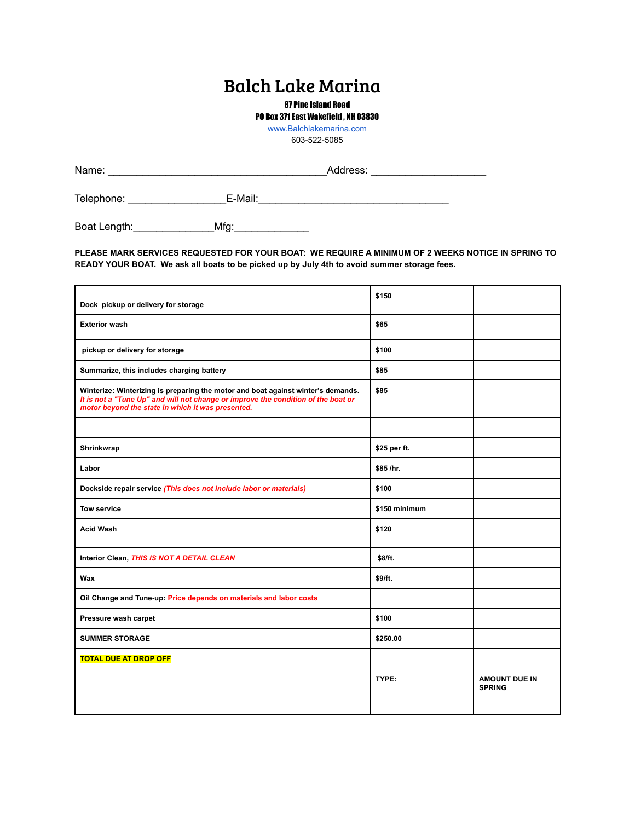## Balch Lake Marina

87 Pine Island Road

PO Box 371 East Wakefield , NH 03830

[www.Balchlakemarina.com](http://www.balchlakemarina.com)

603-522-5085

| Name:      | Address: |  |
|------------|----------|--|
| Telephone: | E-Mail:  |  |

Boat Length:\_\_\_\_\_\_\_\_\_\_\_\_\_\_Mfg:\_\_\_\_\_\_\_\_\_\_\_\_\_

**PLEASE MARK SERVICES REQUESTED FOR YOUR BOAT: WE REQUIRE A MINIMUM OF 2 WEEKS NOTICE IN SPRING TO READY YOUR BOAT. We ask all boats to be picked up by July 4th to avoid summer storage fees.**

| Dock pickup or delivery for storage                                                                                                                                                                                        | \$150         |                                       |
|----------------------------------------------------------------------------------------------------------------------------------------------------------------------------------------------------------------------------|---------------|---------------------------------------|
| <b>Exterior wash</b>                                                                                                                                                                                                       | \$65          |                                       |
| pickup or delivery for storage                                                                                                                                                                                             | \$100         |                                       |
| Summarize, this includes charging battery                                                                                                                                                                                  | \$85          |                                       |
| Winterize: Winterizing is preparing the motor and boat against winter's demands.<br>It is not a "Tune Up" and will not change or improve the condition of the boat or<br>motor beyond the state in which it was presented. | \$85          |                                       |
|                                                                                                                                                                                                                            |               |                                       |
| Shrinkwrap                                                                                                                                                                                                                 | \$25 per ft.  |                                       |
| Labor                                                                                                                                                                                                                      | \$85 /hr.     |                                       |
| Dockside repair service (This does not include labor or materials)                                                                                                                                                         | \$100         |                                       |
| <b>Tow service</b>                                                                                                                                                                                                         | \$150 minimum |                                       |
| <b>Acid Wash</b>                                                                                                                                                                                                           | \$120         |                                       |
| Interior Clean, THIS IS NOT A DETAIL CLEAN                                                                                                                                                                                 | \$8/ft.       |                                       |
| Wax                                                                                                                                                                                                                        | \$9/ft.       |                                       |
| Oil Change and Tune-up: Price depends on materials and labor costs                                                                                                                                                         |               |                                       |
| Pressure wash carpet                                                                                                                                                                                                       | \$100         |                                       |
| <b>SUMMER STORAGE</b>                                                                                                                                                                                                      | \$250.00      |                                       |
| <b>TOTAL DUE AT DROP OFF</b>                                                                                                                                                                                               |               |                                       |
|                                                                                                                                                                                                                            | TYPE:         | <b>AMOUNT DUE IN</b><br><b>SPRING</b> |